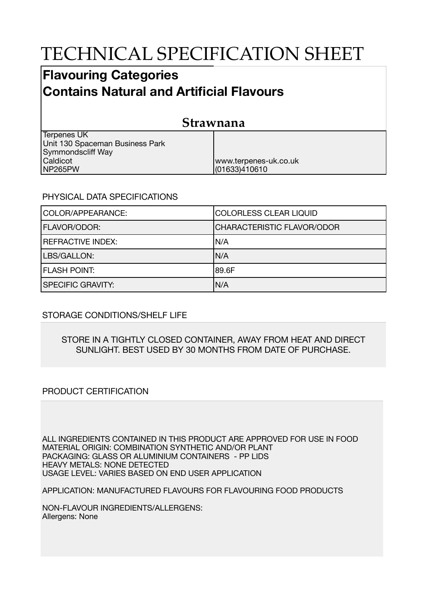# TECHNICAL SPECIFICATION SHEET

## **Flavouring Categories Contains Natural and Artificial Flavours**

| Strawnana                                      |                       |  |
|------------------------------------------------|-----------------------|--|
| Terpenes UK<br>Unit 130 Spaceman Business Park |                       |  |
| <b>Symmondscliff Way</b>                       |                       |  |
| Caldicot                                       | www.terpenes-uk.co.uk |  |
| NP265PW                                        | (01633)410610         |  |

### PHYSICAL DATA SPECIFICATIONS

| COLOR/APPEARANCE:        | <b>COLORLESS CLEAR LIQUID</b>     |
|--------------------------|-----------------------------------|
| <b>FLAVOR/ODOR:</b>      | <b>CHARACTERISTIC FLAVOR/ODOR</b> |
| <b>REFRACTIVE INDEX:</b> | IN/A                              |
| LBS/GALLON:              | IN/A                              |
| <b>FLASH POINT:</b>      | 189.6F                            |
| <b>SPECIFIC GRAVITY:</b> | N/A                               |

### STORAGE CONDITIONS/SHELF LIFE

#### STORE IN A TIGHTLY CLOSED CONTAINER, AWAY FROM HEAT AND DIRECT SUNLIGHT. BEST USED BY 30 MONTHS FROM DATE OF PURCHASE.

### PRODUCT CERTIFICATION

ALL INGREDIENTS CONTAINED IN THIS PRODUCT ARE APPROVED FOR USE IN FOOD MATERIAL ORIGIN: COMBINATION SYNTHETIC AND/OR PLANT PACKAGING: GLASS OR ALUMINIUM CONTAINERS - PP LIDS HEAVY METALS: NONE DETECTED USAGE LEVEL: VARIES BASED ON END USER APPLICATION

APPLICATION: MANUFACTURED FLAVOURS FOR FLAVOURING FOOD PRODUCTS

NON-FLAVOUR INGREDIENTS/ALLERGENS: Allergens: None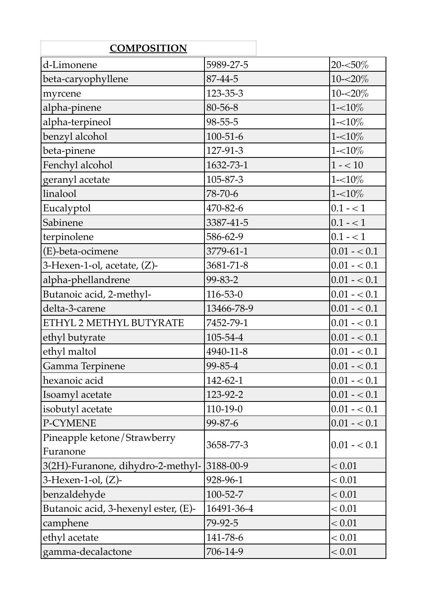| <b>COMPOSITION</b>                   |                |                |
|--------------------------------------|----------------|----------------|
| d-Limonene                           | 5989-27-5      | 20-<50%        |
| beta-caryophyllene                   | 87-44-5        | 10-<20%        |
| myrcene                              | 123-35-3       | $10 - 20\%$    |
| alpha-pinene                         | 80-56-8        | $1 - 10\%$     |
| alpha-terpineol                      | $98 - 55 - 5$  | $1 - 10\%$     |
| benzyl alcohol                       | $100 - 51 - 6$ | $1 - 10\%$     |
| beta-pinene                          | 127-91-3       | $1 - 10\%$     |
| Fenchyl alcohol                      | 1632-73-1      | $1 - 10$       |
| geranyl acetate                      | 105-87-3       | $1 - 10\%$     |
| linalool                             | 78-70-6        | $1 - 10\%$     |
| Eucalyptol                           | 470-82-6       | $0.1 - 1$      |
| Sabinene                             | 3387-41-5      | $0.1 - 1$      |
| terpinolene                          | 586-62-9       | $0.1 - 1$      |
| (E)-beta-ocimene                     | 3779-61-1      | $0.01 - 0.1$   |
| 3-Hexen-1-ol, acetate, $(Z)$ -       | 3681-71-8      | $0.01 - 0.1$   |
| alpha-phellandrene                   | 99-83-2        | $0.01 - 0.1$   |
| Butanoic acid, 2-methyl-             | $116 - 53 - 0$ | $0.01 - 0.1$   |
| delta-3-carene                       | 13466-78-9     | $0.01 - 0.1$   |
| ETHYL 2 METHYL BUTYRATE              | 7452-79-1      | $0.01 - 0.1$   |
| ethyl butyrate                       | 105-54-4       | $0.01 - 0.1$   |
| ethyl maltol                         | 4940-11-8      | $0.01 - 0.1$   |
| Gamma Terpinene                      | 99-85-4        | $ 0.01 - 0.1 $ |
| hexanoic acid                        | 142-62-1       | $0.01 - 0.1$   |
| Isoamyl acetate                      | 123-92-2       | $0.01 - 0.1$   |
| isobutyl acetate                     | $110-19-0$     | $0.01 - 0.1$   |
| P-CYMENE                             | 99-87-6        | $0.01 - 0.1$   |
| Pineapple ketone/Strawberry          | 3658-77-3      | $0.01 - 0.1$   |
| Furanone                             |                |                |
| 3(2H)-Furanone, dihydro-2-methyl-    | 3188-00-9      | < 0.01         |
| $3$ -Hexen-1-ol, $(Z)$ -             | 928-96-1       | < 0.01         |
| benzaldehyde                         | 100-52-7       | < 0.01         |
| Butanoic acid, 3-hexenyl ester, (E)- | 16491-36-4     | < 0.01         |
| camphene                             | 79-92-5        | < 0.01         |
| ethyl acetate                        | 141-78-6       | < 0.01         |
| gamma-decalactone                    | 706-14-9       | < 0.01         |